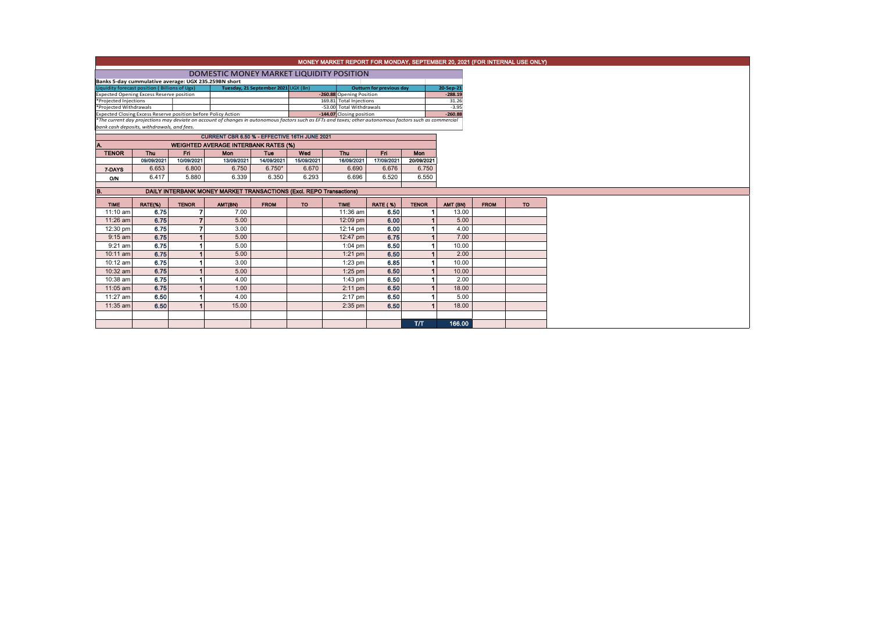|                                                                                                                                                                                       | MONEY MARKET REPORT FOR MONDAY, SEPTEMBER 20, 2021 (FOR INTERNAL USE ONLY)                                                                                                                             |                |                                             |             |            |                                                      |                      |              |          |             |    |  |  |
|---------------------------------------------------------------------------------------------------------------------------------------------------------------------------------------|--------------------------------------------------------------------------------------------------------------------------------------------------------------------------------------------------------|----------------|---------------------------------------------|-------------|------------|------------------------------------------------------|----------------------|--------------|----------|-------------|----|--|--|
|                                                                                                                                                                                       | DOMESTIC MONEY MARKET LIQUIDITY POSITION                                                                                                                                                               |                |                                             |             |            |                                                      |                      |              |          |             |    |  |  |
|                                                                                                                                                                                       |                                                                                                                                                                                                        |                |                                             |             |            |                                                      |                      |              |          |             |    |  |  |
| Banks 5-day cummulative average: UGX 235.259BN short<br>Liquidity forecast position (Billions of Ugx)<br>Tuesday, 21 September 2021 UGX (Bn)<br>20-Sep-21<br>Outturn for previous day |                                                                                                                                                                                                        |                |                                             |             |            |                                                      |                      |              |          |             |    |  |  |
| <b>Expected Opening Excess Reserve position</b><br>-260.88 Opening Position<br>$-288.19$                                                                                              |                                                                                                                                                                                                        |                |                                             |             |            |                                                      |                      |              |          |             |    |  |  |
| *Projected Injections                                                                                                                                                                 |                                                                                                                                                                                                        |                |                                             |             |            | 169.81 Total Injections                              |                      |              | 31.26    |             |    |  |  |
| *Projected Withdrawals<br>Expected Closing Excess Reserve position before Policy Action                                                                                               |                                                                                                                                                                                                        |                |                                             |             |            | -53.00 Total Withdrawals<br>-144.07 Closing position | $-3.95$<br>$-260.88$ |              |          |             |    |  |  |
|                                                                                                                                                                                       |                                                                                                                                                                                                        |                |                                             |             |            |                                                      |                      |              |          |             |    |  |  |
|                                                                                                                                                                                       | *The current day projections may deviate on account of changes in autonomous factors such as EFTs and taxes; other autonomous factors such as commercial<br>bank cash deposits, withdrawals, and fees. |                |                                             |             |            |                                                      |                      |              |          |             |    |  |  |
|                                                                                                                                                                                       | CURRENT CBR 6.50 % - EFFECTIVE 16TH JUNE 2021                                                                                                                                                          |                |                                             |             |            |                                                      |                      |              |          |             |    |  |  |
|                                                                                                                                                                                       |                                                                                                                                                                                                        |                | <b>WEIGHTED AVERAGE INTERBANK RATES (%)</b> |             |            |                                                      |                      |              |          |             |    |  |  |
| <b>TENOR</b>                                                                                                                                                                          | <b>Thu</b>                                                                                                                                                                                             | Fri.           | Mon                                         | Tue         | Wed        | Thu                                                  | Fri                  | Mon          |          |             |    |  |  |
|                                                                                                                                                                                       | 09/09/2021                                                                                                                                                                                             | 10/09/2021     | 13/09/2021                                  | 14/09/2021  | 15/09/2021 | 16/09/2021                                           | 17/09/2021           | 20/09/2021   |          |             |    |  |  |
| 7-DAYS                                                                                                                                                                                | 6.653                                                                                                                                                                                                  | 6.800          | 6.750                                       | $6.750*$    | 6.670      | 6.690                                                | 6.676                | 6.750        |          |             |    |  |  |
| <b>O/N</b>                                                                                                                                                                            | 6.417                                                                                                                                                                                                  | 5.880          | 6.339                                       | 6.350       | 6.293      | 6.696                                                | 6.520                | 6.550        |          |             |    |  |  |
| B.                                                                                                                                                                                    | DAILY INTERBANK MONEY MARKET TRANSACTIONS (Excl. REPO Transactions)                                                                                                                                    |                |                                             |             |            |                                                      |                      |              |          |             |    |  |  |
| <b>TIME</b>                                                                                                                                                                           | RATE(%)                                                                                                                                                                                                | <b>TENOR</b>   | AMT(BN)                                     | <b>FROM</b> | <b>TO</b>  | <b>TIME</b>                                          | <b>RATE (%)</b>      | <b>TENOR</b> | AMT (BN) | <b>FROM</b> | TO |  |  |
| 11:10 am                                                                                                                                                                              | 6.75                                                                                                                                                                                                   | $\overline{7}$ | 7.00                                        |             |            | 11:36 am                                             | 6.50                 |              | 13.00    |             |    |  |  |
| 11:26 am                                                                                                                                                                              | 6.75                                                                                                                                                                                                   | $\overline{7}$ | 5.00                                        |             |            | 12:09 pm                                             | 6.00                 |              | 5.00     |             |    |  |  |
| 12:30 pm                                                                                                                                                                              | 6.75                                                                                                                                                                                                   | $\overline{7}$ | 3.00                                        |             |            | 12:14 pm                                             | 6.00                 |              | 4.00     |             |    |  |  |
| $9:15$ am                                                                                                                                                                             | 6.75                                                                                                                                                                                                   |                | 5.00                                        |             |            | 12:47 pm                                             | 6.75                 |              | 7.00     |             |    |  |  |
| $9:21$ am                                                                                                                                                                             | 6.75                                                                                                                                                                                                   |                | 5.00                                        |             |            | $1:04$ pm                                            | 6.50                 |              | 10.00    |             |    |  |  |
| 10:11 am                                                                                                                                                                              | 6.75                                                                                                                                                                                                   |                | 5.00                                        |             |            | $1:21$ pm                                            | 6.50                 |              | 2.00     |             |    |  |  |
| 10:12 am                                                                                                                                                                              | 6.75                                                                                                                                                                                                   |                | 3.00                                        |             |            | $1:23$ pm                                            | 6.85                 |              | 10.00    |             |    |  |  |
| 10:32 am                                                                                                                                                                              | 6.75                                                                                                                                                                                                   |                | 5.00                                        |             |            | $1:25$ pm                                            | 6.50                 |              | 10.00    |             |    |  |  |
| 10:38 am                                                                                                                                                                              | 6.75                                                                                                                                                                                                   |                | 4.00                                        |             |            | $1:43$ pm                                            | 6.50                 |              | 2.00     |             |    |  |  |
| 11:05 am                                                                                                                                                                              | 6.75                                                                                                                                                                                                   |                | 1.00                                        |             |            | $2:11$ pm                                            | 6.50                 |              | 18.00    |             |    |  |  |
| 11:27 am                                                                                                                                                                              | 6.50                                                                                                                                                                                                   |                | 4.00                                        |             |            | 2:17 pm                                              | 6.50                 |              | 5.00     |             |    |  |  |
| 11:35 am                                                                                                                                                                              | 6.50                                                                                                                                                                                                   |                | 15.00                                       |             |            | $2:35$ pm                                            | 6.50                 |              | 18.00    |             |    |  |  |
|                                                                                                                                                                                       |                                                                                                                                                                                                        |                |                                             |             |            |                                                      |                      |              |          |             |    |  |  |
|                                                                                                                                                                                       |                                                                                                                                                                                                        |                |                                             |             |            |                                                      |                      | T/T          | 166.00   |             |    |  |  |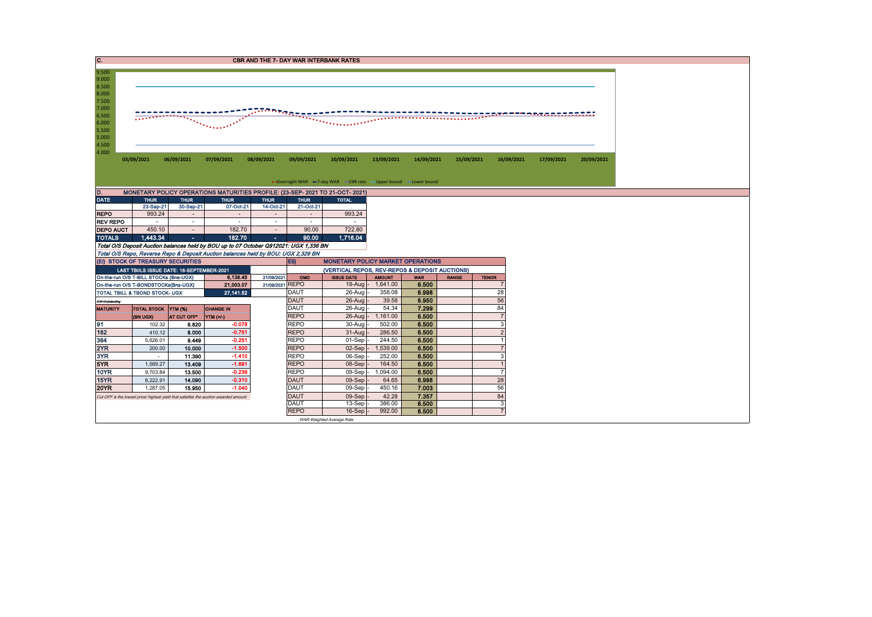| C.                                                                                                                                                                                                                                       | <b>CBR AND THE 7- DAY WAR INTERBANK RATES</b> |                  |                                                                                       |                                    |                                    |                                                                   |                    |                |              |                                |            |            |  |  |
|------------------------------------------------------------------------------------------------------------------------------------------------------------------------------------------------------------------------------------------|-----------------------------------------------|------------------|---------------------------------------------------------------------------------------|------------------------------------|------------------------------------|-------------------------------------------------------------------|--------------------|----------------|--------------|--------------------------------|------------|------------|--|--|
| 9.500<br>9.000<br>8.500<br>8.000<br>7.500<br>7.000<br>nyayar din dan anyayar yang masa da<br>6.500<br>$\tau_{\rm max}$<br><br>6.000<br>$\mathcal{L}^{\mathcal{L}}$ , and $\mathcal{L}^{\mathcal{L}}$<br>5.500<br>5.000<br>4.500<br>4.000 |                                               |                  |                                                                                       |                                    |                                    |                                                                   |                    |                |              |                                |            |            |  |  |
|                                                                                                                                                                                                                                          | 03/09/2021                                    | 06/09/2021       | 07/09/2021                                                                            | 08/09/2021                         | 09/09/2021                         | 10/09/2021                                                        | 13/09/2021         | 14/09/2021     | 15/09/2021   | 16/09/2021                     | 17/09/2021 | 20/09/2021 |  |  |
|                                                                                                                                                                                                                                          |                                               |                  |                                                                                       |                                    |                                    |                                                                   |                    |                |              |                                |            |            |  |  |
|                                                                                                                                                                                                                                          |                                               |                  |                                                                                       |                                    |                                    | • Overnight WAR -7-day WAR - CBR rate - Upper bound - Lower bound |                    |                |              |                                |            |            |  |  |
| D.                                                                                                                                                                                                                                       |                                               |                  | MONETARY POLICY OPERATIONS MATURITIES PROFILE: (23-SEP- 2021 TO 21-OCT- 2021)         |                                    |                                    |                                                                   |                    |                |              |                                |            |            |  |  |
| <b>DATE</b>                                                                                                                                                                                                                              | <b>THUR</b>                                   | <b>THUR</b>      | <b>THUR</b>                                                                           | <b>THUR</b>                        | <b>THUR</b>                        | <b>TOTAL</b>                                                      |                    |                |              |                                |            |            |  |  |
|                                                                                                                                                                                                                                          | 23-Sep-21                                     | 30-Sep-21        | 07-Oct-21                                                                             | 14-Oct-21                          | 21-Oct-21                          |                                                                   |                    |                |              |                                |            |            |  |  |
| <b>REPO</b><br><b>REV REPO</b>                                                                                                                                                                                                           | 993.24<br>$\sim$                              | $\sim$<br>$\sim$ | $\sim$<br>$\sim$                                                                      | $\overline{\phantom{a}}$<br>$\sim$ | $\overline{\phantom{a}}$<br>$\sim$ | 993.24<br>$\sim$                                                  |                    |                |              |                                |            |            |  |  |
| <b>DEPO AUCT</b>                                                                                                                                                                                                                         | 450.10                                        | $\sim$           | 182.70                                                                                | $\sim$                             | 90.00                              | 722.80                                                            |                    |                |              |                                |            |            |  |  |
| <b>TOTALS</b>                                                                                                                                                                                                                            | 1.443.34                                      | ×.               | 182.70                                                                                | ×.                                 | 90.00                              | 1,716.04                                                          |                    |                |              |                                |            |            |  |  |
|                                                                                                                                                                                                                                          |                                               |                  | Total O/S Deposit Auction balances held by BOU up to 07 October Q912021: UGX 1,336 BN |                                    |                                    |                                                                   |                    |                |              |                                |            |            |  |  |
|                                                                                                                                                                                                                                          |                                               |                  | Total O/S Repo, Reverse Repo & Deposit Auction balances held by BOU: UGX 2,329 BN     |                                    |                                    |                                                                   |                    |                |              |                                |            |            |  |  |
|                                                                                                                                                                                                                                          | (EI) STOCK OF TREASURY SECURITIES             |                  |                                                                                       |                                    | Eii)                               | <b>MONETARY POLICY MARKET OPERATIONS</b>                          |                    |                |              |                                |            |            |  |  |
|                                                                                                                                                                                                                                          | LAST TBIILS ISSUE DATE: 16-SEPTEMBER-2021     |                  |                                                                                       |                                    |                                    | (VERTICAL REPOS, REV-REPOS & DEPOSIT AUCTIONS)                    |                    |                |              |                                |            |            |  |  |
| On-the-run O/S T-BILL STOCKs (Bns-UGX)<br>6.138.45<br>21/09/2021<br>OMO<br><b>ISSUE DATE</b>                                                                                                                                             |                                               |                  |                                                                                       |                                    |                                    |                                                                   | <b>AMOUNT</b>      | <b>WAR</b>     | <b>RANGE</b> | <b>TENOR</b><br>$\overline{7}$ |            |            |  |  |
| 21/09/2021 REPO<br>21,003.07<br>On-the-run O/S T-BONDSTOCKs(Bns-UGX)<br>TOTAL TBILL & TBOND STOCK- UGX<br>27, 141.52                                                                                                                     |                                               |                  |                                                                                       |                                    | <b>DAUT</b>                        | $19$ -Aug<br>26-Aug                                               | 1,641.00<br>358.08 | 6.500<br>6.998 |              | 28                             |            |            |  |  |
| O/S=Outnanding                                                                                                                                                                                                                           |                                               |                  |                                                                                       |                                    | <b>DAUT</b>                        | $26$ -Aug                                                         | 39.58              | 6.950          |              | 56                             |            |            |  |  |
| <b>MATURITY</b>                                                                                                                                                                                                                          | <b>TOTAL STOCK YTM (%)</b>                    |                  | <b>CHANGE IN</b>                                                                      |                                    | <b>DAUT</b>                        | 26-Aug                                                            | 54.34              | 7.299          |              | 84                             |            |            |  |  |
|                                                                                                                                                                                                                                          | (BN UGX)                                      | AT CUT OFF*      | VTM(1')                                                                               |                                    | <b>REPO</b>                        | 26-Aug                                                            | 1,161.00           | 6.500          |              | $\overline{7}$                 |            |            |  |  |
| 91                                                                                                                                                                                                                                       | 102.32                                        | 6.820            | $-0.079$                                                                              |                                    | <b>REPO</b>                        | 30-Aug                                                            | 502.00             | 6.500          |              | 3                              |            |            |  |  |
| 182                                                                                                                                                                                                                                      | 410.12                                        | 8.000            | $-0.751$                                                                              |                                    | <b>REPO</b>                        | 31-Aug                                                            | 286.50             | 6.500          |              | 2                              |            |            |  |  |
| 364                                                                                                                                                                                                                                      | 5,626.01                                      | 9.449            | $-0.251$                                                                              |                                    | <b>REPO</b>                        | 01-Sep                                                            | 244.50             | 6.500          |              |                                |            |            |  |  |
| 2YR                                                                                                                                                                                                                                      | 200.00                                        | 10.000           | $-1.500$                                                                              |                                    | <b>REPO</b>                        | $02-Sep$                                                          | 1.539.00           | 6.500          |              | $\overline{7}$                 |            |            |  |  |
| 3YR                                                                                                                                                                                                                                      | $\sim$                                        | 11.390           | $-1.410$<br>$-1.691$                                                                  |                                    | <b>REPO</b>                        | 06-Sep                                                            | 252.00             | 6.500          |              | 3                              |            |            |  |  |
| 5YR<br>10YR                                                                                                                                                                                                                              | 1,589.27<br>9,703.84                          | 13.409<br>13,500 | $-0.239$                                                                              |                                    | <b>REPO</b><br><b>REPO</b>         | 08-Sep<br>$09-Sep$                                                | 164.50<br>1,094.00 | 6.500<br>6.500 |              |                                |            |            |  |  |
| 15YR                                                                                                                                                                                                                                     | 8,222.91                                      | 14.090           | $-0.310$                                                                              |                                    | <b>DAUT</b>                        | 09-Sep                                                            | 64.65              | 6.998          |              | 28                             |            |            |  |  |
| <b>20YR</b>                                                                                                                                                                                                                              | 1,287.05                                      | 15.950           | $-1.040$                                                                              |                                    | <b>DAUT</b>                        | $09-Sep$                                                          | 450.16             | 7.003          |              | 56                             |            |            |  |  |
|                                                                                                                                                                                                                                          |                                               |                  | Cut OFF is the lowest price/ highest yield that satisfies the auction awarded amount. |                                    | <b>DAUT</b>                        | 09-Sep                                                            | 42.28              | 7.357          |              | 84                             |            |            |  |  |
|                                                                                                                                                                                                                                          |                                               |                  |                                                                                       |                                    | <b>DAUT</b>                        | 13-Sep                                                            | 386.00             | 6.500          |              | 3                              |            |            |  |  |
|                                                                                                                                                                                                                                          |                                               |                  |                                                                                       |                                    | 992.00<br>16-Sep                   | 6.500                                                             |                    |                |              |                                |            |            |  |  |
|                                                                                                                                                                                                                                          |                                               |                  |                                                                                       |                                    |                                    | WAR-Weighted Average Rate                                         |                    |                |              |                                |            |            |  |  |